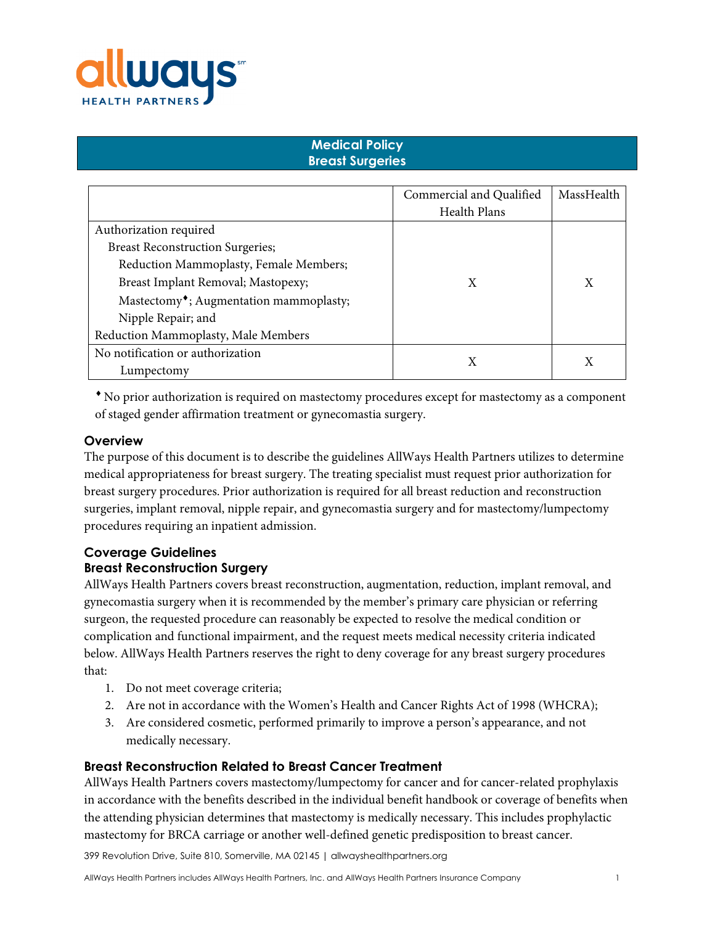

# **Medical Policy Breast Surgeries**

|                                                     | Commercial and Qualified | MassHealth |
|-----------------------------------------------------|--------------------------|------------|
|                                                     | <b>Health Plans</b>      |            |
| Authorization required                              |                          |            |
| <b>Breast Reconstruction Surgeries;</b>             |                          |            |
| Reduction Mammoplasty, Female Members;              |                          |            |
| Breast Implant Removal; Mastopexy;                  | X                        | X          |
| Mastectomy <sup>•</sup> ; Augmentation mammoplasty; |                          |            |
| Nipple Repair; and                                  |                          |            |
| Reduction Mammoplasty, Male Members                 |                          |            |
| No notification or authorization                    |                          |            |
| Lumpectomy                                          |                          |            |

♦ No prior authorization is required on mastectomy procedures except for mastectomy as a component of staged gender affirmation treatment or gynecomastia surgery.

## **Overview**

The purpose of this document is to describe the guidelines AllWays Health Partners utilizes to determine medical appropriateness for breast surgery. The treating specialist must request prior authorization for breast surgery procedures. Prior authorization is required for all breast reduction and reconstruction surgeries, implant removal, nipple repair, and gynecomastia surgery and for mastectomy/lumpectomy procedures requiring an inpatient admission.

## **Coverage Guidelines Breast Reconstruction Surgery**

AllWays Health Partners covers breast reconstruction, augmentation, reduction, implant removal, and gynecomastia surgery when it is recommended by the member's primary care physician or referring surgeon, the requested procedure can reasonably be expected to resolve the medical condition or complication and functional impairment, and the request meets medical necessity criteria indicated below. AllWays Health Partners reserves the right to deny coverage for any breast surgery procedures that:

- 1. Do not meet coverage criteria;
- 2. Are not in accordance with the Women's Health and Cancer Rights Act of 1998 (WHCRA);
- 3. Are considered cosmetic, performed primarily to improve a person's appearance, and not medically necessary.

#### **Breast Reconstruction Related to Breast Cancer Treatment**

AllWays Health Partners covers mastectomy/lumpectomy for cancer and for cancer-related prophylaxis in accordance with the benefits described in the individual benefit handbook or coverage of benefits when the attending physician determines that mastectomy is medically necessary. This includes prophylactic mastectomy for BRCA carriage or another well-defined genetic predisposition to breast cancer.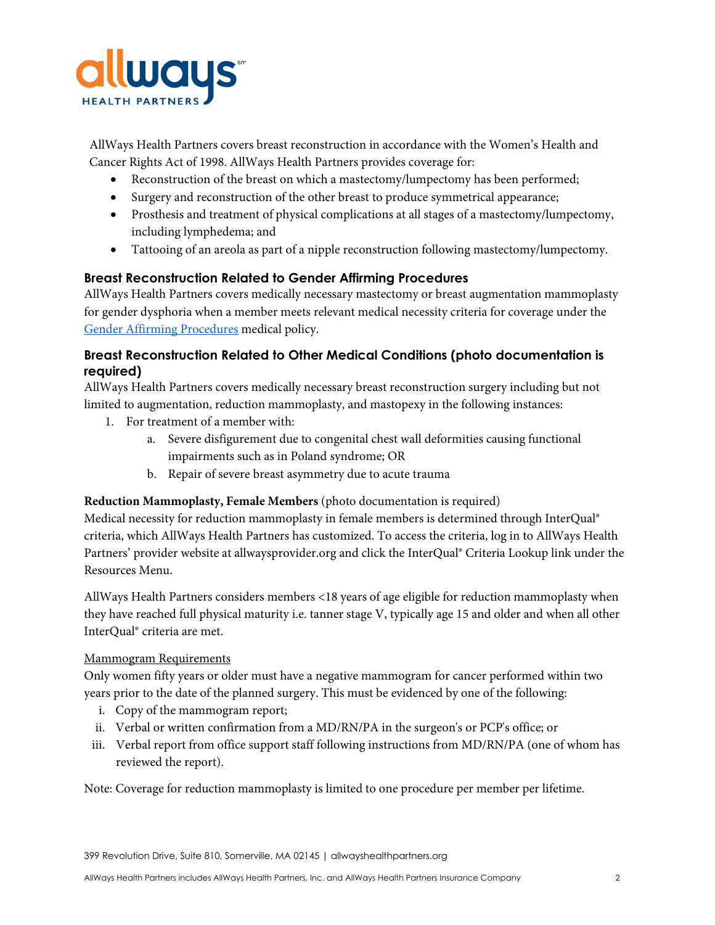

AllWays Health Partners covers breast reconstruction in accordance with the Women's Health and Cancer Rights Act of 1998. AllWays Health Partners provides coverage for:

- Reconstruction of the breast on which a mastectomy/lumpectomy has been performed;
- Surgery and reconstruction of the other breast to produce symmetrical appearance;
- Prosthesis and treatment of physical complications at all stages of a mastectomy/lumpectomy, including lymphedema; and
- Tattooing of an areola as part of a nipple reconstruction following mastectomy/lumpectomy.

## **Breast Reconstruction Related to Gender Affirming Procedures**

AllWays Health Partners covers medically necessary mastectomy or breast augmentation mammoplasty for gender dysphoria when a member meets relevant medical necessity criteria for coverage under the Gender [Affirming Procedures](https://resources.allwayshealthpartners.org/medicalpolicy/GenderAffirmingProcedures.pdf) medical policy.

## **Breast Reconstruction Related to Other Medical Conditions (photo documentation is required)**

AllWays Health Partners covers medically necessary breast reconstruction surgery including but not limited to augmentation, reduction mammoplasty, and mastopexy in the following instances:

- 1. For treatment of a member with:
	- a. Severe disfigurement due to congenital chest wall deformities causing functional impairments such as in Poland syndrome; OR
	- b. Repair of severe breast asymmetry due to acute trauma

## **Reduction Mammoplasty, Female Members** (photo documentation is required)

Medical necessity for reduction mammoplasty in female members is determined through InterQual® criteria, which AllWays Health Partners has customized. To access the criteria, log in to AllWays Health Partners' provider website at allwaysprovider.org and click the InterQual® Criteria Lookup link under the Resources Menu.

AllWays Health Partners considers members <18 years of age eligible for reduction mammoplasty when they have reached full physical maturity i.e. tanner stage V, typically age 15 and older and when all other InterQual® criteria are met.

## Mammogram Requirements

Only women fifty years or older must have a negative mammogram for cancer performed within two years prior to the date of the planned surgery. This must be evidenced by one of the following:

- i. Copy of the mammogram report;
- ii. Verbal or written confirmation from a MD/RN/PA in the surgeon's or PCP's office; or
- iii. Verbal report from office support staff following instructions from MD/RN/PA (one of whom has reviewed the report).

Note: Coverage for reduction mammoplasty is limited to one procedure per member per lifetime.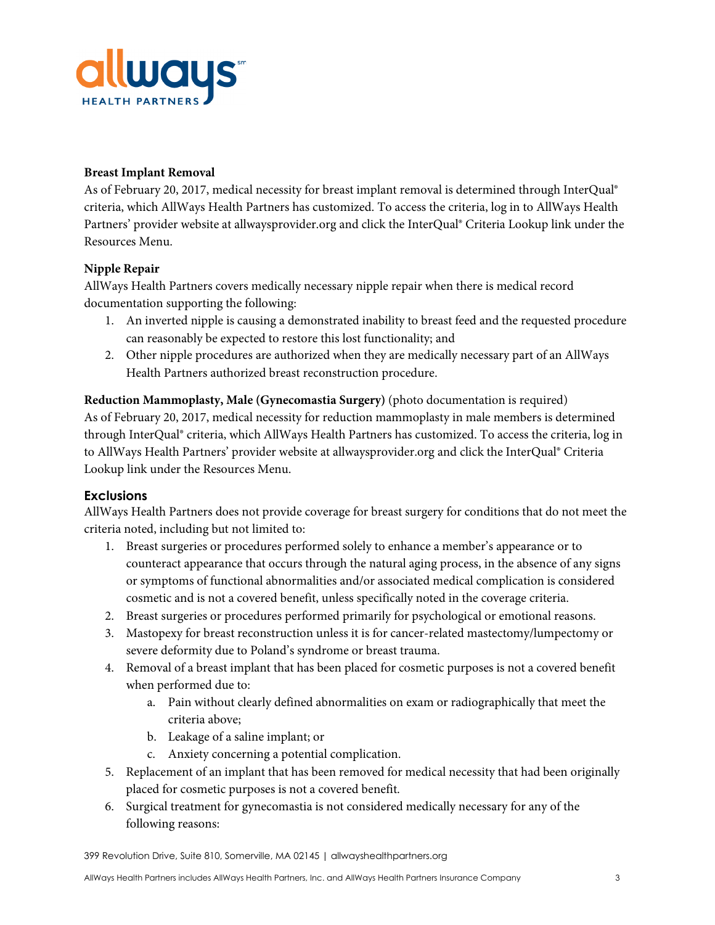

#### **Breast Implant Removal**

As of February 20, 2017, medical necessity for breast implant removal is determined through InterQual® criteria, which AllWays Health Partners has customized. To access the criteria, log in to AllWays Health Partners' provider website at allwaysprovider.org and click the InterQual® Criteria Lookup link under the Resources Menu.

## **Nipple Repair**

AllWays Health Partners covers medically necessary nipple repair when there is medical record documentation supporting the following:

- 1. An inverted nipple is causing a demonstrated inability to breast feed and the requested procedure can reasonably be expected to restore this lost functionality; and
- 2. Other nipple procedures are authorized when they are medically necessary part of an AllWays Health Partners authorized breast reconstruction procedure.

**Reduction Mammoplasty, Male (Gynecomastia Surgery)** (photo documentation is required) As of February 20, 2017, medical necessity for reduction mammoplasty in male members is determined through InterQual® criteria, which AllWays Health Partners has customized. To access the criteria, log in to AllWays Health Partners' provider website at allwaysprovider.org and click the InterQual® Criteria Lookup link under the Resources Menu.

## **Exclusions**

AllWays Health Partners does not provide coverage for breast surgery for conditions that do not meet the criteria noted, including but not limited to:

- 1. Breast surgeries or procedures performed solely to enhance a member's appearance or to counteract appearance that occurs through the natural aging process, in the absence of any signs or symptoms of functional abnormalities and/or associated medical complication is considered cosmetic and is not a covered benefit, unless specifically noted in the coverage criteria.
- 2. Breast surgeries or procedures performed primarily for psychological or emotional reasons.
- 3. Mastopexy for breast reconstruction unless it is for cancer-related mastectomy/lumpectomy or severe deformity due to Poland's syndrome or breast trauma.
- 4. Removal of a breast implant that has been placed for cosmetic purposes is not a covered benefit when performed due to:
	- a. Pain without clearly defined abnormalities on exam or radiographically that meet the criteria above;
	- b. Leakage of a saline implant; or
	- c. Anxiety concerning a potential complication.
- 5. Replacement of an implant that has been removed for medical necessity that had been originally placed for cosmetic purposes is not a covered benefit.
- 6. Surgical treatment for gynecomastia is not considered medically necessary for any of the following reasons:

<sup>399</sup> Revolution Drive, Suite 810, Somerville, MA 02145 | allwayshealthpartners.org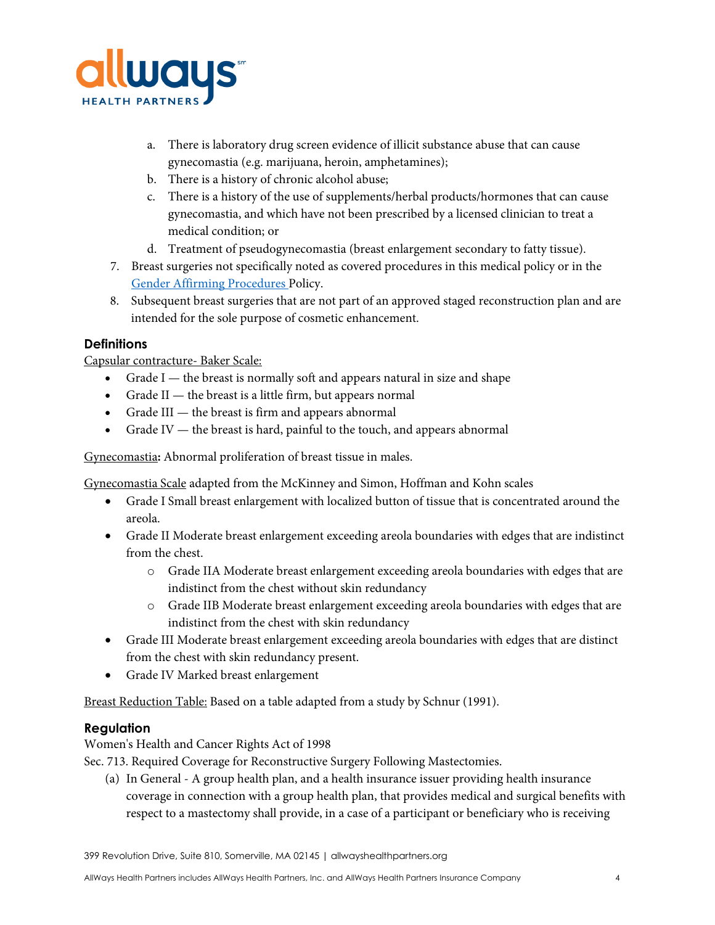

- a. There is laboratory drug screen evidence of illicit substance abuse that can cause gynecomastia (e.g. marijuana, heroin, amphetamines);
- b. There is a history of chronic alcohol abuse;
- c. There is a history of the use of supplements/herbal products/hormones that can cause gynecomastia, and which have not been prescribed by a licensed clinician to treat a medical condition; or
- d. Treatment of pseudogynecomastia (breast enlargement secondary to fatty tissue).
- 7. Breast surgeries not specifically noted as covered procedures in this medical policy or in the Gender Affirming [Procedures](https://resources.allwayshealthpartners.org/medicalpolicy/GenderAffirmingProcedures.pdf) Policy.
- 8. Subsequent breast surgeries that are not part of an approved staged reconstruction plan and are intended for the sole purpose of cosmetic enhancement.

# **Definitions**

Capsular contracture- Baker Scale:

- Grade I the breast is normally soft and appears natural in size and shape
- Grade II the breast is a little firm, but appears normal
- Grade III the breast is firm and appears abnormal
- Grade IV the breast is hard, painful to the touch, and appears abnormal

Gynecomastia**:** Abnormal proliferation of breast tissue in males.

Gynecomastia Scale adapted from the McKinney and Simon, Hoffman and Kohn scales

- Grade I Small breast enlargement with localized button of tissue that is concentrated around the areola.
- Grade II Moderate breast enlargement exceeding areola boundaries with edges that are indistinct from the chest.
	- o Grade IIA Moderate breast enlargement exceeding areola boundaries with edges that are indistinct from the chest without skin redundancy
	- o Grade IIB Moderate breast enlargement exceeding areola boundaries with edges that are indistinct from the chest with skin redundancy
- Grade III Moderate breast enlargement exceeding areola boundaries with edges that are distinct from the chest with skin redundancy present.
- Grade IV Marked breast enlargement

Breast Reduction Table: Based on a table adapted from a study by Schnur (1991).

# **Regulation**

Women's Health and Cancer Rights Act of 1998

Sec. 713. Required Coverage for Reconstructive Surgery Following Mastectomies.

(a) In General - A group health plan, and a health insurance issuer providing health insurance coverage in connection with a group health plan, that provides medical and surgical benefits with respect to a mastectomy shall provide, in a case of a participant or beneficiary who is receiving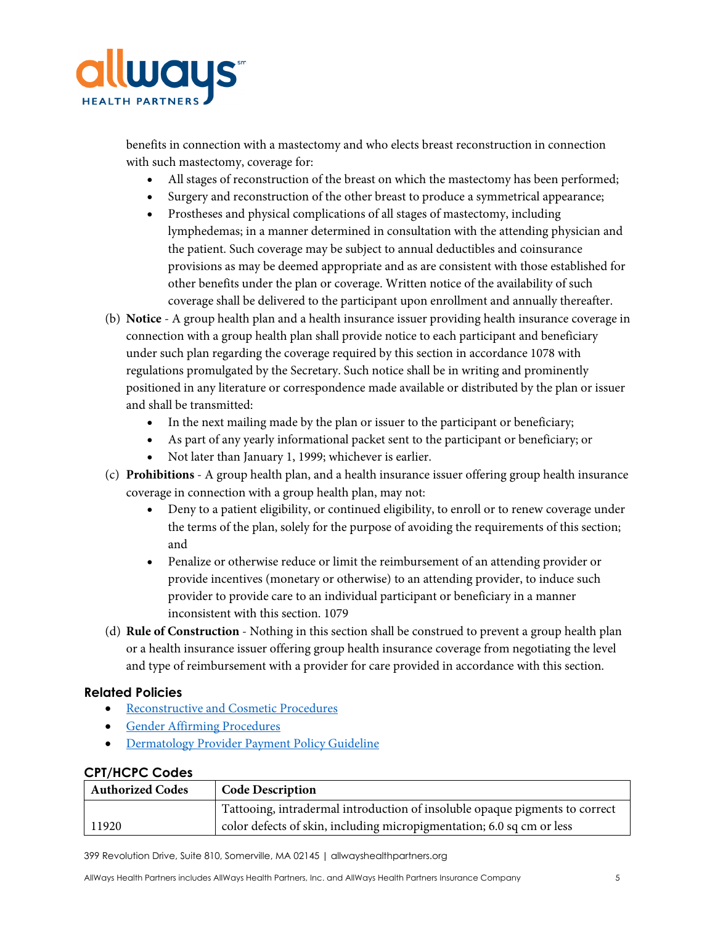

benefits in connection with a mastectomy and who elects breast reconstruction in connection with such mastectomy, coverage for:

- All stages of reconstruction of the breast on which the mastectomy has been performed;
- Surgery and reconstruction of the other breast to produce a symmetrical appearance;
- Prostheses and physical complications of all stages of mastectomy, including lymphedemas; in a manner determined in consultation with the attending physician and the patient. Such coverage may be subject to annual deductibles and coinsurance provisions as may be deemed appropriate and as are consistent with those established for other benefits under the plan or coverage. Written notice of the availability of such coverage shall be delivered to the participant upon enrollment and annually thereafter.
- (b) **Notice** A group health plan and a health insurance issuer providing health insurance coverage in connection with a group health plan shall provide notice to each participant and beneficiary under such plan regarding the coverage required by this section in accordance 1078 with regulations promulgated by the Secretary. Such notice shall be in writing and prominently positioned in any literature or correspondence made available or distributed by the plan or issuer and shall be transmitted:
	- In the next mailing made by the plan or issuer to the participant or beneficiary;
	- As part of any yearly informational packet sent to the participant or beneficiary; or
	- Not later than January 1, 1999; whichever is earlier.
- (c) **Prohibitions** A group health plan, and a health insurance issuer offering group health insurance coverage in connection with a group health plan, may not:
	- Deny to a patient eligibility, or continued eligibility, to enroll or to renew coverage under the terms of the plan, solely for the purpose of avoiding the requirements of this section; and
	- Penalize or otherwise reduce or limit the reimbursement of an attending provider or provide incentives (monetary or otherwise) to an attending provider, to induce such provider to provide care to an individual participant or beneficiary in a manner inconsistent with this section. 1079
- (d) **Rule of Construction** Nothing in this section shall be construed to prevent a group health plan or a health insurance issuer offering group health insurance coverage from negotiating the level and type of reimbursement with a provider for care provided in accordance with this section.

## **Related Policies**

- [Reconstructive and Cosmetic Procedures](https://resources.allwayshealthpartners.org/medicalpolicy/ReconstructiveandCosmeticProceduresMarch2020.pdf)
- [Gender Affirming Procedures](https://resources.allwayshealthpartners.org/medicalpolicy/GenderAffirmingProcedures.pdf)
- [Dermatology Provider Payment Policy](https://resources.allwayshealthpartners.org/Provider/PPG/Dermatology.pdf) Guideline

#### **CPT/HCPC Codes**

| <b>Authorized Codes</b> | <b>Code Description</b>                                                     |
|-------------------------|-----------------------------------------------------------------------------|
|                         | Tattooing, intradermal introduction of insoluble opaque pigments to correct |
| 11920                   | color defects of skin, including micropigmentation; 6.0 sq cm or less       |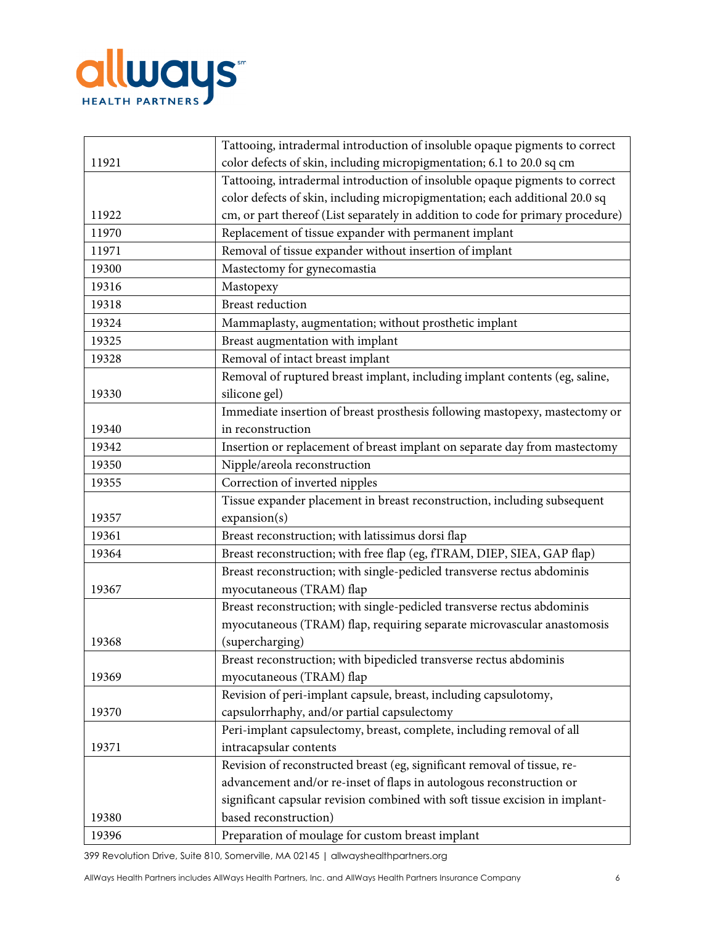

|       | Tattooing, intradermal introduction of insoluble opaque pigments to correct     |
|-------|---------------------------------------------------------------------------------|
| 11921 | color defects of skin, including micropigmentation; 6.1 to 20.0 sq cm           |
|       | Tattooing, intradermal introduction of insoluble opaque pigments to correct     |
|       | color defects of skin, including micropigmentation; each additional 20.0 sq     |
| 11922 | cm, or part thereof (List separately in addition to code for primary procedure) |
| 11970 | Replacement of tissue expander with permanent implant                           |
| 11971 | Removal of tissue expander without insertion of implant                         |
| 19300 | Mastectomy for gynecomastia                                                     |
| 19316 | Mastopexy                                                                       |
| 19318 | <b>Breast reduction</b>                                                         |
| 19324 | Mammaplasty, augmentation; without prosthetic implant                           |
| 19325 | Breast augmentation with implant                                                |
| 19328 | Removal of intact breast implant                                                |
|       | Removal of ruptured breast implant, including implant contents (eg, saline,     |
| 19330 | silicone gel)                                                                   |
|       | Immediate insertion of breast prosthesis following mastopexy, mastectomy or     |
| 19340 | in reconstruction                                                               |
| 19342 | Insertion or replacement of breast implant on separate day from mastectomy      |
| 19350 | Nipple/areola reconstruction                                                    |
| 19355 | Correction of inverted nipples                                                  |
|       | Tissue expander placement in breast reconstruction, including subsequent        |
| 19357 | expansion(s)                                                                    |
| 19361 | Breast reconstruction; with latissimus dorsi flap                               |
| 19364 | Breast reconstruction; with free flap (eg, fTRAM, DIEP, SIEA, GAP flap)         |
|       | Breast reconstruction; with single-pedicled transverse rectus abdominis         |
| 19367 | myocutaneous (TRAM) flap                                                        |
|       | Breast reconstruction; with single-pedicled transverse rectus abdominis         |
|       | myocutaneous (TRAM) flap, requiring separate microvascular anastomosis          |
| 19368 | (supercharging)                                                                 |
|       | Breast reconstruction; with bipedicled transverse rectus abdominis              |
| 19369 | myocutaneous (TRAM) flap                                                        |
|       | Revision of peri-implant capsule, breast, including capsulotomy,                |
| 19370 | capsulorrhaphy, and/or partial capsulectomy                                     |
|       | Peri-implant capsulectomy, breast, complete, including removal of all           |
| 19371 | intracapsular contents                                                          |
|       | Revision of reconstructed breast (eg, significant removal of tissue, re-        |
|       | advancement and/or re-inset of flaps in autologous reconstruction or            |
|       | significant capsular revision combined with soft tissue excision in implant-    |
| 19380 | based reconstruction)                                                           |
| 19396 | Preparation of moulage for custom breast implant                                |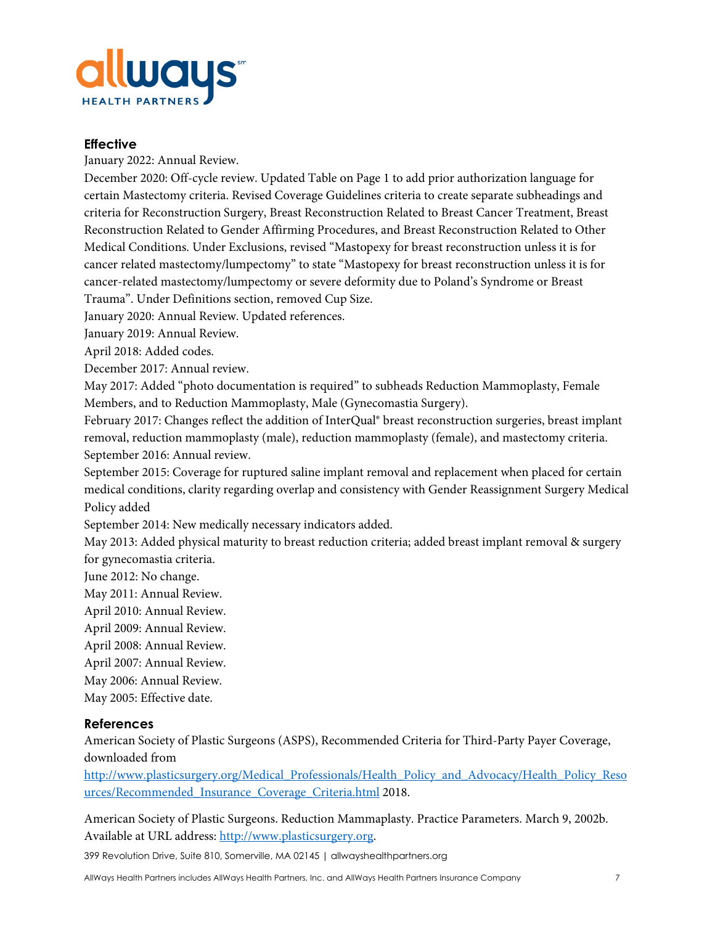

#### **Effective**

January 2022: Annual Review.

December 2020: Off-cycle review. Updated Table on Page 1 to add prior authorization language for certain Mastectomy criteria. Revised Coverage Guidelines criteria to create separate subheadings and criteria for Reconstruction Surgery, Breast Reconstruction Related to Breast Cancer Treatment, Breast Reconstruction Related to Gender Affirming Procedures, and Breast Reconstruction Related to Other Medical Conditions. Under Exclusions, revised "Mastopexy for breast reconstruction unless it is for cancer related mastectomy/lumpectomy" to state "Mastopexy for breast reconstruction unless it is for cancer-related mastectomy/lumpectomy or severe deformity due to Poland's Syndrome or Breast Trauma". Under Definitions section, removed Cup Size.

January 2020: Annual Review. Updated references.

January 2019: Annual Review.

April 2018: Added codes.

December 2017: Annual review.

May 2017: Added "photo documentation is required" to subheads Reduction Mammoplasty, Female Members, and to Reduction Mammoplasty, Male (Gynecomastia Surgery).

February 2017: Changes reflect the addition of InterQual® breast reconstruction surgeries, breast implant removal, reduction mammoplasty (male), reduction mammoplasty (female), and mastectomy criteria. September 2016: Annual review.

September 2015: Coverage for ruptured saline implant removal and replacement when placed for certain medical conditions, clarity regarding overlap and consistency with Gender Reassignment Surgery Medical Policy added

September 2014: New medically necessary indicators added.

May 2013: Added physical maturity to breast reduction criteria; added breast implant removal & surgery for gynecomastia criteria.

June 2012: No change.

May 2011: Annual Review.

April 2010: Annual Review.

April 2009: Annual Review.

April 2008: Annual Review.

April 2007: Annual Review.

May 2006: Annual Review.

May 2005: Effective date.

## **References**

American Society of Plastic Surgeons (ASPS), Recommended Criteria for Third-Party Payer Coverage, downloaded from

[http://www.plasticsurgery.org/Medical\\_Professionals/Health\\_Policy\\_and\\_Advocacy/Health\\_Policy\\_Reso](http://www.plasticsurgery.org/Medical_Professionals/Health_Policy_and_Advocacy/Health_Policy_Resources/Recommended_Insurance_Coverage_Criteria.html) [urces/Recommended\\_Insurance\\_Coverage\\_Criteria.html](http://www.plasticsurgery.org/Medical_Professionals/Health_Policy_and_Advocacy/Health_Policy_Resources/Recommended_Insurance_Coverage_Criteria.html) 2018.

American Society of Plastic Surgeons. Reduction Mammaplasty. Practice Parameters. March 9, 2002b. Available at URL address: [http://www.plasticsurgery.org.](http://www.plasticsurgery.org/)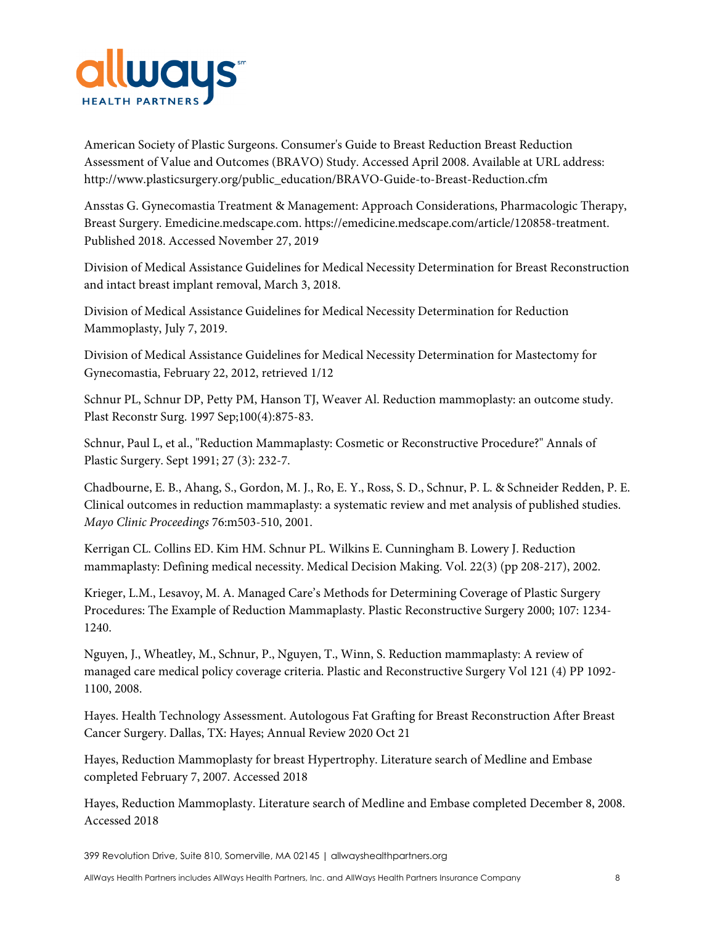

American Society of Plastic Surgeons. Consumer's Guide to Breast Reduction Breast Reduction Assessment of Value and Outcomes (BRAVO) Study. Accessed April 2008. Available at URL address: http://www.plasticsurgery.org/public\_education/BRAVO-Guide-to-Breast-Reduction.cfm

Ansstas G. Gynecomastia Treatment & Management: Approach Considerations, Pharmacologic Therapy, Breast Surgery. Emedicine.medscape.com. https://emedicine.medscape.com/article/120858-treatment. Published 2018. Accessed November 27, 2019

Division of Medical Assistance Guidelines for Medical Necessity Determination for Breast Reconstruction and intact breast implant removal, March 3, 2018.

Division of Medical Assistance Guidelines for Medical Necessity Determination for Reduction Mammoplasty, July 7, 2019.

Division of Medical Assistance Guidelines for Medical Necessity Determination for Mastectomy for Gynecomastia, February 22, 2012, retrieved 1/12

Schnur PL, Schnur DP, Petty PM, Hanson TJ, Weaver Al. Reduction mammoplasty: an outcome study. Plast Reconstr Surg. 1997 Sep;100(4):875-83.

Schnur, Paul L, et al., "Reduction Mammaplasty: Cosmetic or Reconstructive Procedure?" Annals of Plastic Surgery. Sept 1991; 27 (3): 232-7.

Chadbourne, E. B., Ahang, S., Gordon, M. J., Ro, E. Y., Ross, S. D., Schnur, P. L. & Schneider Redden, P. E. Clinical outcomes in reduction mammaplasty: a systematic review and met analysis of published studies. *Mayo Clinic Proceedings* 76:m503-510, 2001.

Kerrigan CL. Collins ED. Kim HM. Schnur PL. Wilkins E. Cunningham B. Lowery J. Reduction mammaplasty: Defining medical necessity. Medical Decision Making. Vol. 22(3) (pp 208-217), 2002.

Krieger, L.M., Lesavoy, M. A. Managed Care's Methods for Determining Coverage of Plastic Surgery Procedures: The Example of Reduction Mammaplasty. Plastic Reconstructive Surgery 2000; 107: 1234- 1240.

Nguyen, J., Wheatley, M., Schnur, P., Nguyen, T., Winn, S. Reduction mammaplasty: A review of managed care medical policy coverage criteria. Plastic and Reconstructive Surgery Vol 121 (4) PP 1092- 1100, 2008.

Hayes. Health Technology Assessment. Autologous Fat Grafting for Breast Reconstruction After Breast Cancer Surgery. Dallas, TX: Hayes; Annual Review 2020 Oct 21

Hayes, Reduction Mammoplasty for breast Hypertrophy. Literature search of Medline and Embase completed February 7, 2007. Accessed 2018

Hayes, Reduction Mammoplasty. Literature search of Medline and Embase completed December 8, 2008. Accessed 2018